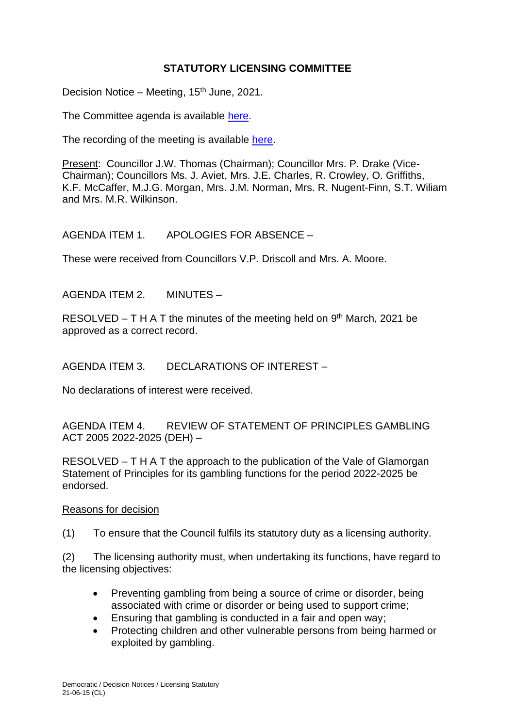## **STATUTORY LICENSING COMMITTEE**

Decision Notice – Meeting,  $15<sup>th</sup>$  June, 2021.

The Committee agenda is available [here.](https://www.valeofglamorgan.gov.uk/en/our_council/Council-Structure/minutes,_agendas_and_reports/agendas/Licensing-Statutory/2021/21-06-15.aspx)

The recording of the meeting is available [here.](https://www.youtube.com/watch?v=6pcceNnKsK8&list=PLzt4i14pgqIENNbnKXl_6SEqBoAj0zCkZ&index=1)

Present: Councillor J.W. Thomas (Chairman); Councillor Mrs. P. Drake (Vice-Chairman); Councillors Ms. J. Aviet, Mrs. J.E. Charles, R. Crowley, O. Griffiths, K.F. McCaffer, M.J.G. Morgan, Mrs. J.M. Norman, Mrs. R. Nugent-Finn, S.T. Wiliam and Mrs. M.R. Wilkinson.

AGENDA ITEM 1. APOLOGIES FOR ABSENCE –

These were received from Councillors V.P. Driscoll and Mrs. A. Moore.

AGENDA ITEM 2. MINUTES –

RESOLVED  $- T H A T$  the minutes of the meeting held on  $9<sup>th</sup>$  March, 2021 be approved as a correct record.

AGENDA ITEM 3. DECLARATIONS OF INTEREST –

No declarations of interest were received.

AGENDA ITEM 4. REVIEW OF STATEMENT OF PRINCIPLES GAMBLING ACT 2005 2022-2025 (DEH) –

RESOLVED – T H A T the approach to the publication of the Vale of Glamorgan Statement of Principles for its gambling functions for the period 2022-2025 be endorsed.

### Reasons for decision

(1) To ensure that the Council fulfils its statutory duty as a licensing authority.

(2) The licensing authority must, when undertaking its functions, have regard to the licensing objectives:

- Preventing gambling from being a source of crime or disorder, being associated with crime or disorder or being used to support crime;
- Ensuring that gambling is conducted in a fair and open way;
- Protecting children and other vulnerable persons from being harmed or exploited by gambling.